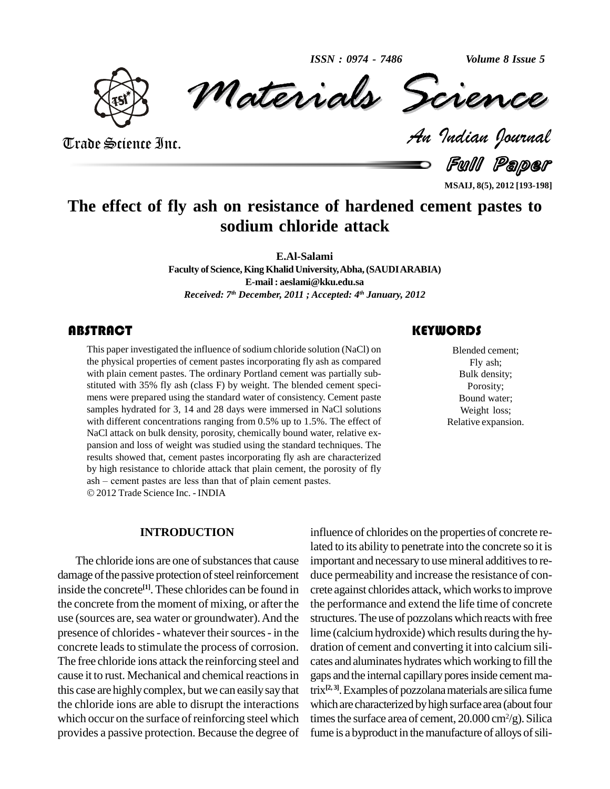*Volume 8 Issue 5*



*Materials* Science *Volume 8 Issue 5*<br> *Indian Pournal* ISSN : 0974 - 7486 Volume 8 Issue 5

Trade Science Inc. Trade Science Inc.

Full Paper

**MSAIJ, 8(5), 2012 [193-198]**

## **The effect of fly ash on resistance of hardened cement pastes to sodium chloride attack**

**E.Al-Salami**

**Faculty ofScience,King KhalidUniversity,Abha,(SAUDIARABIA) E-mail: [aeslami@kku.edu.sa](mailto:aeslami@kku.edu.sa)** *Received: 7 th December, 2011 ; Accepted: 4 th January, 2012*

### **ABSTRACT**

This paper investigated the influence of sodium chloride solution (NaCl) on<br>the physical properties of cement pastes incorporating fly ash as compared<br>with plain cement pastes. The ordinary Portland cement was partially su This paper investigated the influence of sodium chloride solution (NaCl) on the physical properties of cement pastes incorporating fly ash as compared with plain cement pastes. The ordinary Portland cement was partially sub stituted with 35% fly ash (class F) by weight. The blended cement speci mens were prepared using the standard water of consistency. Cement paste samples hydrated for 3, 14 and 28 days were immersed in NaCl solutions with different concentrations ranging from 0.5% up to 1.5%. The effect of NaCl attack on bulk density, porosity, chemically bound water, relative ex pansion and loss of weight was studied using the standard techniques. The results showed that, cement pastes incorporating fly ash are characterized by high resistance to chloride attack that plain cement, the porosity of fly results showed that, cement pastes incorporating fly ash are chara<br>by high resistance to chloride attack that plain cement, the porosi<br>ash – cement pastes are less than that of plain cement pastes. 2012Trade Science Inc. - INDIA

#### **INTRODUCTION**

damage of the passive protection of steel reinforcement inside the concrete<sup>[1]</sup>. These chlorides can be found in crete ag the concrete from the moment of mixing, or after the use (sources are, sea water or groundwater). And the presence of chlorides - whatever their sources - in the concrete leads to stimulate the process of corrosion. The free chloride ions attack the reinforcing steel and cause it to rust. Mechanical and chemical reactions in this case are highlycomplex, but we can easilysaythat the chloride ions are able to disrupt the interactions which occur on the surface of reinforcing steel which provides a passive protection. Because the degree of

### **KEYWORDS**

Blended cement; Fly ash; Bulk density; Porosity; Bound water; Weight loss; Relative expansion.

The chloride ions are one of substances that cause important and necessary to use mineral additives to reinfluence of chlorides on the properties of concrete related to its ability to penetrate into the concrete so it is duce permeability and increase the resistance of concrete against chlorides attack, which works to improve the performance and extend the life time of concrete structures.The use of pozzolans which reacts with free lime (calciumhydroxide) which results during the hy dration of cement and converting it into calcium sili cates and aluminates hydrates which working to fill the gaps and the internal capillary pores inside cement matrix **[2, 3]**.Examplesof pozzolanamaterials are silica fume which are characterized by high surface area (about four times the surface area of cement,  $20.000 \,\mathrm{cm}^2/\mathrm{g}$ ). Silica fume is a byproduct in the manufacture of alloys of sili-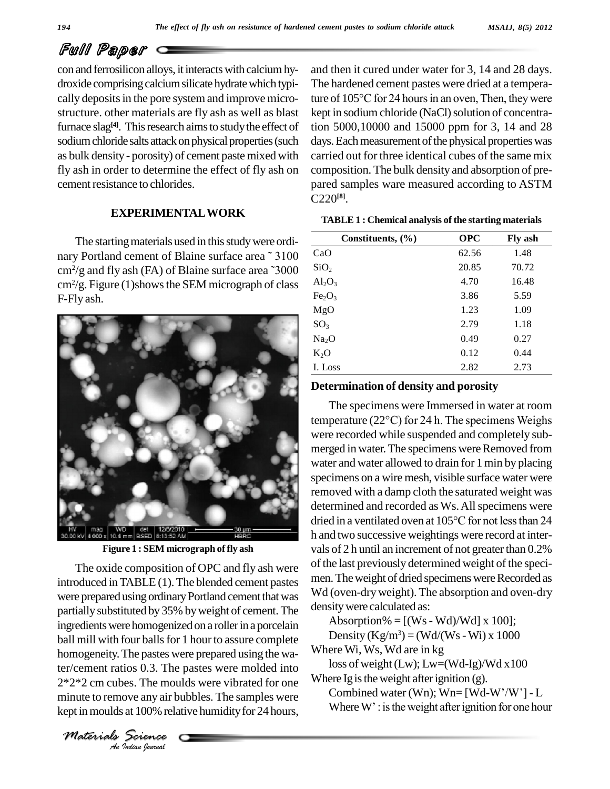#### *MSAIJ, 8(5) 2012*

# Full Paper

con and ferrosilicon alloys, it interacts with calcium hydroxide comprising calcium silicate hydrate which typically deposits in the pore system and improve microstructure. other materials are fly ash as well as blast furnace slag<sup>[4]</sup>. This research aims to study the effect of tion sodium chloride salts attack on physical properties (such as bulk density- porosity) of cement paste mixed with fly ash in order to determine the effect of fly ash on cement resistance to chlorides.

#### **EXPERIMENTALWORK**

The starting materials used in this study were ordi-The starting materials used in this study were ordi-<br>nary Portland cement of Blaine surface area  $\frac{3100}{\text{CaO}}$  $\text{cm}^2/\text{g}$  and fly ash (FA) of Blaine surface area ~3000 The starting materials used in this study were ordi-<br>
y Portland cement of Blaine surface area  $\degree$ 3100  $\degree$  CaO<br>
/g and fly ash (FA) of Blaine surface area  $\degree$ 3000  $\degree$  SiO<sub>2</sub>  $\text{cm}^2/\text{g}$ . Figure (1)shows the SEM micrograph of class  $\text{A}_{12}\text{O}$ F-Fly ash.



**Figure 1 : SEM micrograph offly ash**

 $\text{ter/cement ratios } 0.3$ . The pastes were molded into  $\frac{1}{100}$  los *Indian Indian*<br>*Indian Indian*<br>*Indian boundal* The oxide composition of OPC and fly ash were introduced inTABLE (1).The blended cement pastes were prepared using ordinary Portland cement that was partially substituted by 35% by weight of cement. The ingredients were homogenized on a roller in a porcelain ball mill with four balls for 1 hour to assure complete homogeneity.The pastes were prepared using the wa-2\*2\*2 cm cubes. The moulds were vibrated for one minute to remove any air bubbles. The samples were<br>  $\frac{\text{Combned water (Wn); Wn=[Wd-W'/W'] - L}}{\text{Wer W': is the weight after ignition for one hour}}$ kept in moulds at 100% relative humidity for 24 hours,

and then it cured under water for 3, 14 and 28 days. The hardened cement pastes were dried at a temperature of  $105^{\circ}$ C for 24 hours in an oven, Then, they were kept in sodium chloride (NaCl) solution of concentration 5000,10000 and 15000 ppm for 3, 14 and 28 days. Each measurement of the physical properties was carried out for three identical cubes of the same mix composition. The bulk density and absorption of pre pared samples ware measured according to ASTM  $C220^{[8]}$ .

| TABLE 1 : Chemical analysis of the starting materials |  |
|-------------------------------------------------------|--|
|-------------------------------------------------------|--|

| Constituents, $(\% )$          | <b>OPC</b> | <b>Fly ash</b> |
|--------------------------------|------------|----------------|
| CaO                            | 62.56      | 1.48           |
| SiO <sub>2</sub>               | 20.85      | 70.72          |
| $Al_2O_3$                      | 4.70       | 16.48          |
| Fe <sub>2</sub> O <sub>3</sub> | 3.86       | 5.59           |
| MgO                            | 1.23       | 1.09           |
| SO <sub>3</sub>                | 2.79       | 1.18           |
| Na <sub>2</sub> O              | 0.49       | 0.27           |
| $K_2O$                         | 0.12       | 0.44           |
| I. Loss                        | 2.82       | 2.73           |

#### **Determination of density and porosity**

The specimens were Immersed in water at room temperature (22°C) for <sup>24</sup> h. The specimens Weighs were recorded while suspended and completely sub merged in water. The specimens were Removed from water and water allowed to drain for 1 min by placing specimens on a wire mesh, visible surface water were removed with a damp cloth the saturated weight was<br>determined and recorded as Ws. All specimens were<br>dried in a ventilated oven at 105°C for not less than 24 determined and recorded as Ws. All specimens were h and two successive weightings were record at inter vals of 2 h until an increment of not greater than 0.2% of the last previously determined weight of the speci men. The weight of dried specimens were Recorded as Wd (oven-dry weight). The absorption and oven-dry density were calculated as:

Absorption% =  $[(Ws - Wd)/Wd] \times 100]$ ;

Density  $(Kg/m^3) = (Wd/(Ws-Wi)x 1000$ 

Where Wi, Ws, Wd are in kg

loss of weight (Lw);  $Lw=(Wd-Ig)/Wd x100$ Where Ig is the weight after ignition (g). loss of weight (Lw); Lw=(Wd-Ig)/Wd x100<br>ere Ig is the weight after ignition (g).<br>Combined water (Wn); Wn= [Wd-W'/W'] - L

ere Ig is the weight after ignition (g).<br>Combined water (Wn); Wn= [Wd-W'/W'] - L<br>Where W' : is the weight after ignition for one hour

*Materials Science*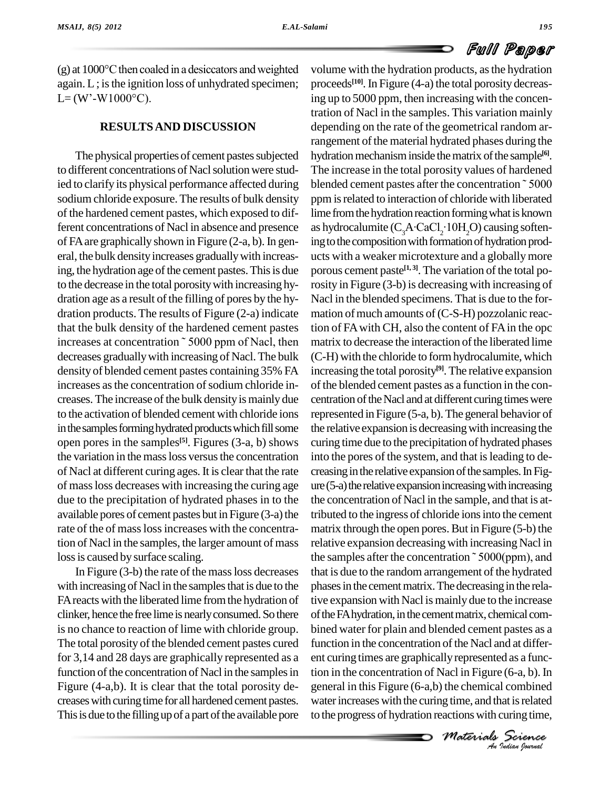

 $(g)$  at 1000 $^{\circ}$ C then coaled in a desiccators and weighted again. L; is the ignition loss of unhydrated specimen; pro (g) at  $1000^{\circ}$ C then coaled i<br>again. L ; is the ignition lo<br>L= (W'-W1000°C).

#### **RESULTSAND DISCUSSION**

The physical properties of cement pastes subjected to different concentrations of Nacl solution were studied to clarify its physical performance affected during sodium chloride exposure. The results of bulk density of the hardened cement pastes, which exposed to different concentrations of Nacl in absence and presence of FA are graphically shown in Figure  $(2-a, b)$ . In general, the bulk density increases gradually with increasing, the hydration age of the cement pastes. This is due to the decrease in the total porositywith increasing hy dration age as a result of the filling of pores by the hydration products. The results of Figure (2-a) indicate that the bulk density of the hardened cement pastes tion dration products. The results of Figure (2-a) indicate mation<br>that the bulk density of the hardened cement pastes tion of<br>increases at concentration ~ 5000 ppm of Nacl, then matrix decreases graduallywith increasing of Nacl.The bulk density of blended cement pastes containing 35% FA increases as the concentration of sodium chloride increases. The increase of the bulk density is mainly due to the activation of blended cement with chloride ions in the samples forming hydrated products which fill some open pores in the samples<sup>[5]</sup>. Figures (3-a, b) shows curing the variation in the mass loss versus the concentration of Nacl at different curing ages.It is clear that the rate of massloss decreases with increasing the curing age due to the precipitation of hydrated phases in to the available pores of cement pastes but in Figure  $(3-a)$  the rate of the of masslossincreases with the concentration of Nacl in the samples, the larger amount of mass loss is caused by surface scaling.

In Figure  $(3-b)$  the rate of the mass loss decreases with increasing of Nacl in the samples that is due to the FA reacts with the liberated lime from the hydration of clinker, hence thefree lime is nearlyconsumed.So there is no chance to reaction of lime with chloride group. The total porosity of the blended cement pastes cured for 3,14 and 28 days are graphically represented as a function of the concentration of Nacl in the samples in Figure (4-a,b). It is clear that the total porosity de creases with curing time for all hardened cement pastes. This is due to the filling up of a part of the available pore

*Macl* in Figure (6-a, b). In<br>the chemical combined<br>g time, and that is related<br>actions with curing time,<br>**Materials**<br> $\frac{1}{4u}$  *Judian (bornal*) *An*ent curing times are graphicallyrepresented as a funcvolume with the hydration products, asthe hydration proceeds **[10]**.In Figure (4-a) the total porosity decreasing up to 5000 ppm, then increasing with the concentration of Nacl in the samples. This variation mainly depending on the rate of the geometrical random arrangement of the material hydrated phases during the hydration mechanism inside the matrix of the sample<sup>[6]</sup>. The increase in the total porosity values of hardened blended cement pastes after the concentration<sup>~5000</sup> ppm is related to interaction of chloride with liberated lime from the hydration reaction forming what is known ppm is related to interaction of chloride with liberated<br>lime from the hydration reaction forming what is known<br>as hydrocalumite  $(C_3A \cdot CaCl_2 \cdot 10H_2O)$  causing softening to the composition with formation of hydration products with a weaker microtexture and a globallymore porous cement paste<sup>[1,3]</sup>. The variation of the total porosity in Figure (3-b) is decreasing with increasing of Nacl in the blended specimens. That is due to the for mation of much amounts of  $(C-S-H)$  pozzolanic reaction of FA with CH, also the content of FA in the opc matrix to decrease the interaction of the liberated lime (C-H) with the chloride to formhydrocalumite, which increasing the total porosity **[9]**. The relative expansion of the blended cement pastes as a function in the con centration of the Nacl and at different curing times were represented in Figure (5-a, b).The general behavior of the relative expansion is decreasing with increasing the curing time due to the precipitation of hydrated phases into the pores of the system, and that is leading to decreasing in the relative expansion of the samples. In Fig $ure(5-a)$  the relative expansion increasing with increasing the concentration of Nacl in the sample, and that is attributed to the ingress of chloride ionsinto the cement matrix through the open pores. But in Figure  $(5-b)$  the relative expansion decreasingwith increasing Nacl in the samples after the concentration  $\tilde{\phantom{a}}$  5000(ppm), and that is due to the random arrangement of the hydrated phases in the cement matrix. The decreasing in the relative expansion with Nacl is mainly due to the increase of the FA hydration, in the cement matrix, chemical combined water for plain and blended cement pastes as a function in the concentration of the Nacl and at differtion in the concentration of Nacl in Figure (6-a, b). In general in this Figure (6-a,b) the chemical combined water increases with the curing time, and that is related to the progress of hydration reactionswith curing time,

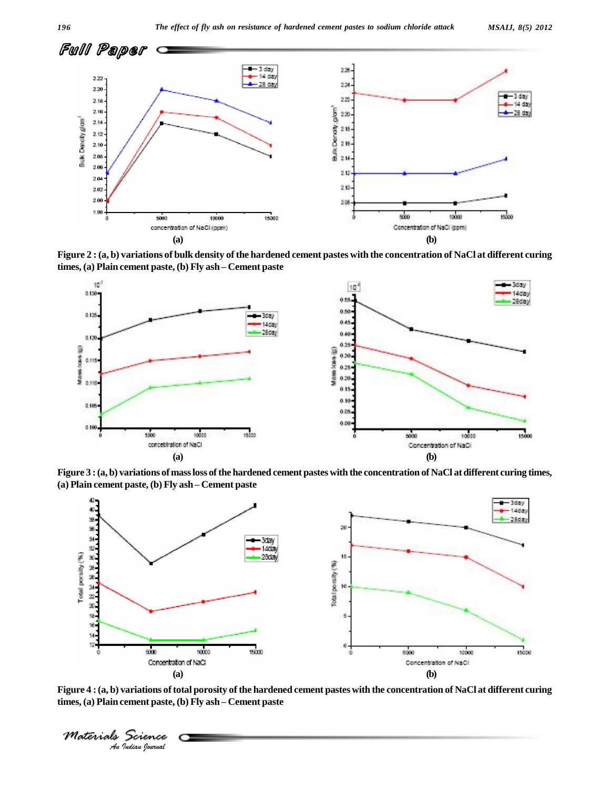

Figure 2 : (a, b) variations of bulk density of the hardened cement pastes with the concentration of NaCl at different curing **times, (a) Plain cement paste, (b) Fly ash <sup>ñ</sup> Cement paste**



Figure 3 : (a, b) variations of mass loss of the hardened cement pastes with the concentration of NaCl at different curing times, **(a) Plain cement paste, (b) Fly ash <sup>ñ</sup> Cement paste**



Figure 4 : (a, b) variations of total porosity of the hardened cement pastes with the concentration of NaCl at different curing **times, (a) Plain cement paste, (b) Fly ash <sup>ñ</sup> Cement paste**

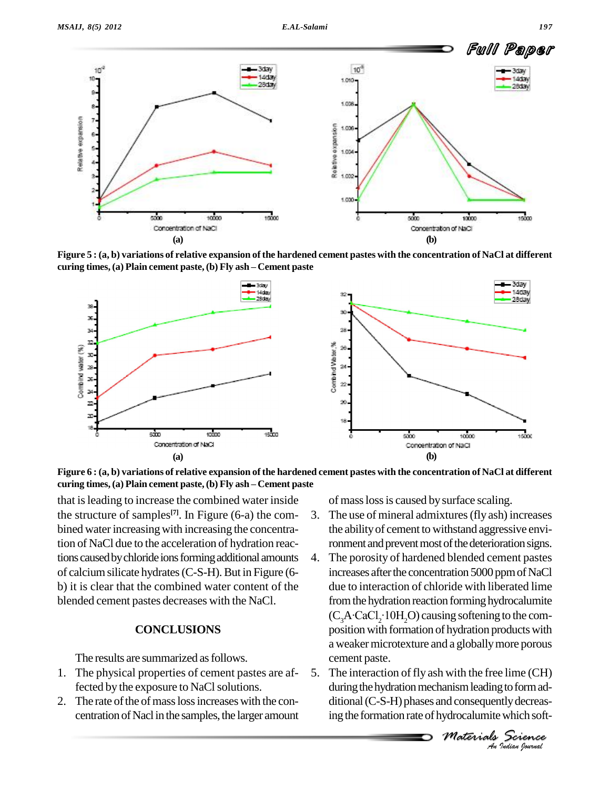Relate expansion

5.



Figure 5 : (a, b) variations of relative expansion of the hardened cement pastes with the concentration of NaCl at different **curing times,(a) Plain cement paste,(b) Fly ash <sup>ñ</sup> Cement paste**

**(a) (b)**





that isleading to increase the combined water inside the structure of samples **[7]**. In Figure (6-a) the com bined water increasing with increasing the concentration of NaCl due to the acceleration of hydration reactions caused by chloride ions forming additional amounts 4. of calciumsilicate hydrates(C-S-H).But in Figure (6 b) it is clear that the combined water content of the blended cement pastes decreases with the NaCl.

#### **CONCLUSIONS**

The results are summarized as follows.

- 1. The physical properties of cement pastes are affected by the exposure to NaCl solutions.
- 2. The rate of the of mass loss increases with the concentration of Nacl in the samples, the larger amount

of masslossis caused bysurface scaling.

- 3. The use of mineral admixtures(fly ash) increases the abilityof cement to withstand aggressive environment and prevent most of the deterioration signs.
- The porosity of hardened blended cement pastes increases after the concentration 5000 ppm of NaCl due to interaction of chloride with liberated lime from the hydration reaction forming hydrocalumite due to interaction<br>from the hydration<br>(C<sub>3</sub>A·CaCl<sub>2</sub>·10H<sub>2</sub>  $(C_3A \cdot CaCl_2 \cdot 10H_2O)$  causing softening to the composition with formation of hydration products with a weakermicrotexture and a globallymore porous cement paste.
- *M* with the free lime (CH)<br>
anism leading to form ad-<br> *M* consequently decreas-<br> *Materials*<br> *Materials*<br> *Material*<br> *Material* The interaction of fly ash with the free lime (CH) during the hydration mechanism leading to form additional (C-S-H) phases and consequently decreasing the formation rate of hydrocalumite which soft-